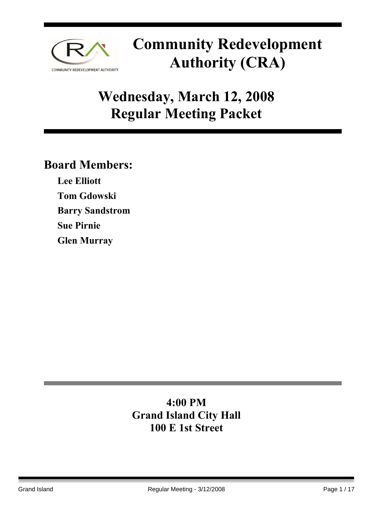

## **Wednesday, March 12, 2008 Regular Meeting Packet**

### **Board Members:**

**Lee Elliott Tom Gdowski Barry Sandstrom Sue Pirnie Glen Murray** 

### **4:00 PM Grand Island City Hall 100 E 1st Street**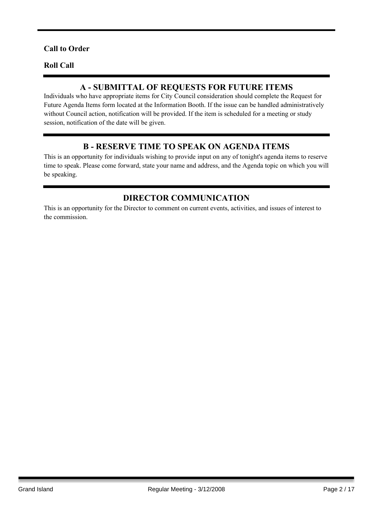#### **Call to Order**

#### **Roll Call**

#### **A - SUBMITTAL OF REQUESTS FOR FUTURE ITEMS**

Individuals who have appropriate items for City Council consideration should complete the Request for Future Agenda Items form located at the Information Booth. If the issue can be handled administratively without Council action, notification will be provided. If the item is scheduled for a meeting or study session, notification of the date will be given.

#### **B - RESERVE TIME TO SPEAK ON AGENDA ITEMS**

This is an opportunity for individuals wishing to provide input on any of tonight's agenda items to reserve time to speak. Please come forward, state your name and address, and the Agenda topic on which you will be speaking.

#### **DIRECTOR COMMUNICATION**

This is an opportunity for the Director to comment on current events, activities, and issues of interest to the commission.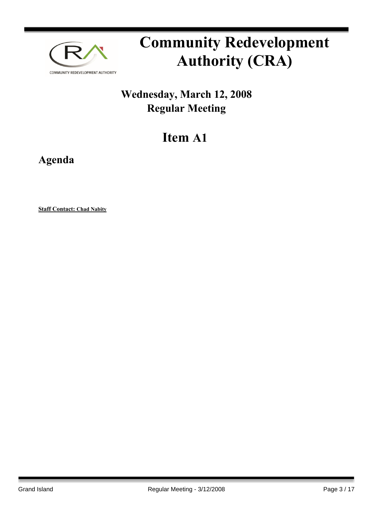

## **Wednesday, March 12, 2008 Regular Meeting**

## **Item A1**

**Agenda**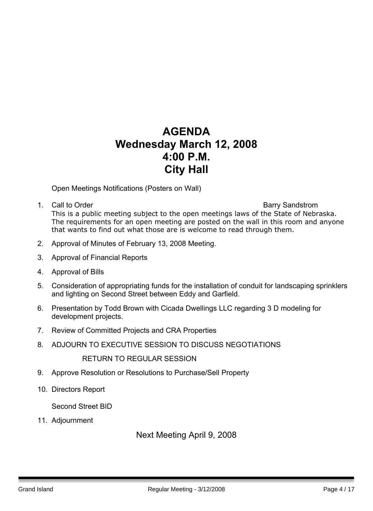### **AGENDA Wednesday March 12, 2008 4:00 P.M. City Hall**

Open Meetings Notifications (Posters on Wall)

- 1. Call to Order **Barry Sandstrom Barry Sandstrom** This is a public meeting subject to the open meetings laws of the State of Nebraska. The requirements for an open meeting are posted on the wall in this room and anyone that wants to find out what those are is welcome to read through them.
- 2. Approval of Minutes of February 13, 2008 Meeting.
- 3. Approval of Financial Reports
- 4. Approval of Bills
- 5. Consideration of appropriating funds for the installation of conduit for landscaping sprinklers and lighting on Second Street between Eddy and Garfield.
- 6. Presentation by Todd Brown with Cicada Dwellings LLC regarding 3 D modeling for development projects.
- 7. Review of Committed Projects and CRA Properties
- 8. ADJOURN TO EXECUTIVE SESSION TO DISCUSS NEGOTIATIONS

RETURN TO REGULAR SESSION

- 9. Approve Resolution or Resolutions to Purchase/Sell Property
- 10. Directors Report

Second Street BID

11. Adjournment

#### Next Meeting April 9, 2008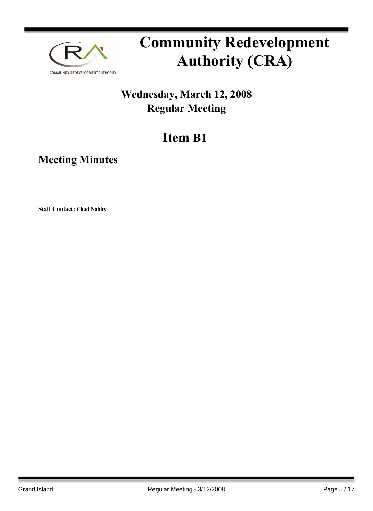

## **Wednesday, March 12, 2008 Regular Meeting**

## **Item B1**

**Meeting Minutes**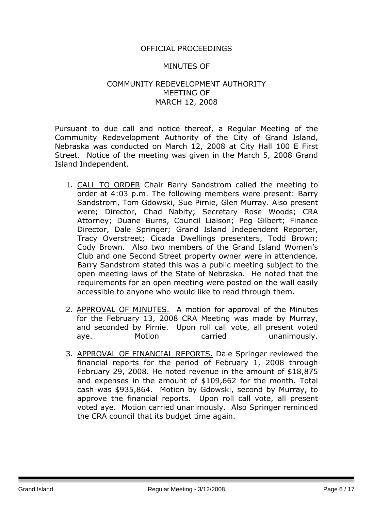#### OFFICIAL PROCEEDINGS

#### MINUTES OF

#### COMMUNITY REDEVELOPMENT AUTHORITY MEETING OF MARCH 12, 2008

Pursuant to due call and notice thereof, a Regular Meeting of the Community Redevelopment Authority of the City of Grand Island, Nebraska was conducted on March 12, 2008 at City Hall 100 E First Street. Notice of the meeting was given in the March 5, 2008 Grand Island Independent.

- 1. CALL TO ORDER Chair Barry Sandstrom called the meeting to order at 4:03 p.m. The following members were present: Barry Sandstrom, Tom Gdowski, Sue Pirnie, Glen Murray. Also present were; Director, Chad Nabity; Secretary Rose Woods; CRA Attorney; Duane Burns, Council Liaison; Peg Gilbert; Finance Director, Dale Springer; Grand Island Independent Reporter, Tracy Overstreet; Cicada Dwellings presenters, Todd Brown; Cody Brown. Also two members of the Grand Island Women's Club and one Second Street property owner were in attendence. Barry Sandstrom stated this was a public meeting subject to the open meeting laws of the State of Nebraska. He noted that the requirements for an open meeting were posted on the wall easily accessible to anyone who would like to read through them.
- 2. APPROVAL OF MINUTES. A motion for approval of the Minutes for the February 13, 2008 CRA Meeting was made by Murray, and seconded by Pirnie. Upon roll call vote, all present voted aye. Motion carried unanimously.
- 3. APPROVAL OF FINANCIAL REPORTS. Dale Springer reviewed the financial reports for the period of February 1, 2008 through February 29, 2008. He noted revenue in the amount of \$18,875 and expenses in the amount of \$109,662 for the month. Total cash was \$935,864. Motion by Gdowski, second by Murray, to approve the financial reports. Upon roll call vote, all present voted aye. Motion carried unanimously. Also Springer reminded the CRA council that its budget time again.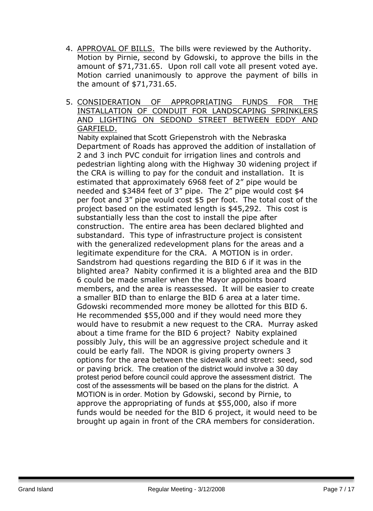- 4. APPROVAL OF BILLS. The bills were reviewed by the Authority. Motion by Pirnie, second by Gdowski, to approve the bills in the amount of \$71,731.65. Upon roll call vote all present voted aye. Motion carried unanimously to approve the payment of bills in the amount of \$71,731.65.
- 5. CONSIDERATION OF APPROPRIATING FUNDS FOR THE INSTALLATION OF CONDUIT FOR LANDSCAPING SPRINKLERS AND LIGHTING ON SEDOND STREET BETWEEN EDDY AND GARFIELD.

 Nabity explained that Scott Griepenstroh with the Nebraska Department of Roads has approved the addition of installation of 2 and 3 inch PVC conduit for irrigation lines and controls and pedestrian lighting along with the Highway 30 widening project if the CRA is willing to pay for the conduit and installation. It is estimated that approximately 6968 feet of 2" pipe would be needed and \$3484 feet of 3" pipe. The 2" pipe would cost \$4 per foot and 3" pipe would cost \$5 per foot. The total cost of the project based on the estimated length is \$45,292. This cost is substantially less than the cost to install the pipe after construction. The entire area has been declared blighted and substandard. This type of infrastructure project is consistent with the generalized redevelopment plans for the areas and a legitimate expenditure for the CRA. A MOTION is in order. Sandstrom had questions regarding the BID 6 if it was in the blighted area? Nabity confirmed it is a blighted area and the BID 6 could be made smaller when the Mayor appoints board members, and the area is reassessed. It will be easier to create a smaller BID than to enlarge the BID 6 area at a later time. Gdowski recommended more money be allotted for this BID 6. He recommended \$55,000 and if they would need more they would have to resubmit a new request to the CRA. Murray asked about a time frame for the BID 6 project? Nabity explained possibly July, this will be an aggressive project schedule and it could be early fall. The NDOR is giving property owners 3 options for the area between the sidewalk and street: seed, sod or paving brick. The creation of the district would involve a 30 day protest period before council could approve the assessment district. The cost of the assessments will be based on the plans for the district. A MOTION is in order. Motion by Gdowski, second by Pirnie, to approve the appropriating of funds at \$55,000, also if more funds would be needed for the BID 6 project, it would need to be brought up again in front of the CRA members for consideration.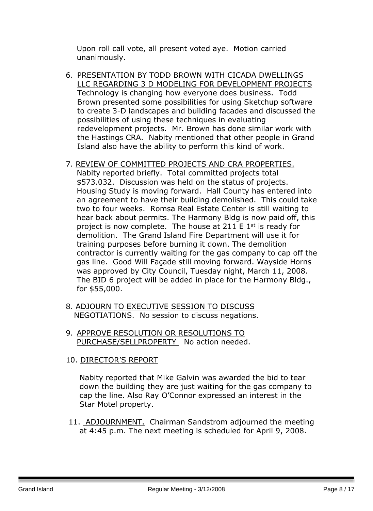Upon roll call vote, all present voted aye. Motion carried unanimously.

6. PRESENTATION BY TODD BROWN WITH CICADA DWELLINGS LLC REGARDING 3 D MODELING FOR DEVELOPMENT PROJECTS Technology is changing how everyone does business. Todd Brown presented some possibilities for using Sketchup software to create 3-D landscapes and building facades and discussed the possibilities of using these techniques in evaluating redevelopment projects. Mr. Brown has done similar work with the Hastings CRA. Nabity mentioned that other people in Grand Island also have the ability to perform this kind of work.

#### 7. REVIEW OF COMMITTED PROJECTS AND CRA PROPERTIES.

Nabity reported briefly. Total committed projects total \$573.032. Discussion was held on the status of projects. Housing Study is moving forward. Hall County has entered into an agreement to have their building demolished. This could take two to four weeks. Romsa Real Estate Center is still waiting to hear back about permits. The Harmony Bldg is now paid off, this project is now complete. The house at 211 E  $1<sup>st</sup>$  is ready for demolition. The Grand Island Fire Department will use it for training purposes before burning it down. The demolition contractor is currently waiting for the gas company to cap off the gas line. Good Will Façade still moving forward. Wayside Horns was approved by City Council, Tuesday night, March 11, 2008. The BID 6 project will be added in place for the Harmony Bldg., for \$55,000.

- 8. ADJOURN TO EXECUTIVE SESSION TO DISCUSS NEGOTIATIONS. No session to discuss negations.
- 9. APPROVE RESOLUTION OR RESOLUTIONS TO PURCHASE/SELLPROPERTY No action needed.

#### 10. DIRECTOR'S REPORT

Nabity reported that Mike Galvin was awarded the bid to tear down the building they are just waiting for the gas company to cap the line. Also Ray O'Connor expressed an interest in the Star Motel property.

11. ADJOURNMENT. Chairman Sandstrom adjourned the meeting at 4:45 p.m. The next meeting is scheduled for April 9, 2008.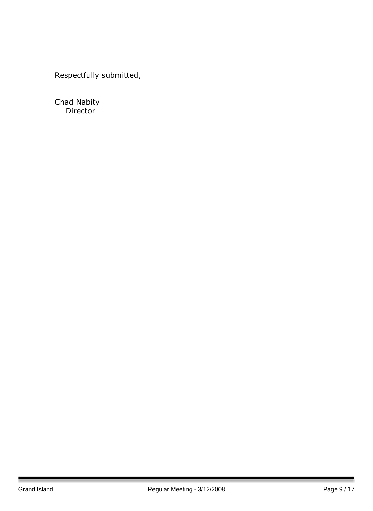Respectfully submitted,

Chad Nabity Director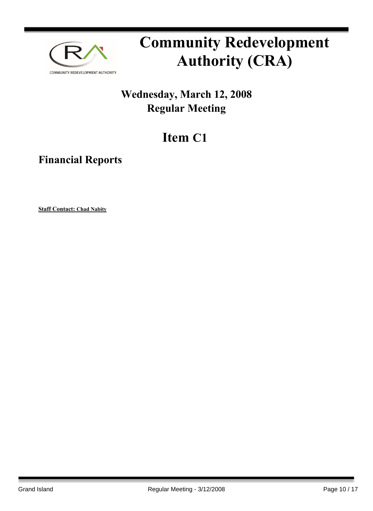

## **Wednesday, March 12, 2008 Regular Meeting**

## **Item C1**

**Financial Reports**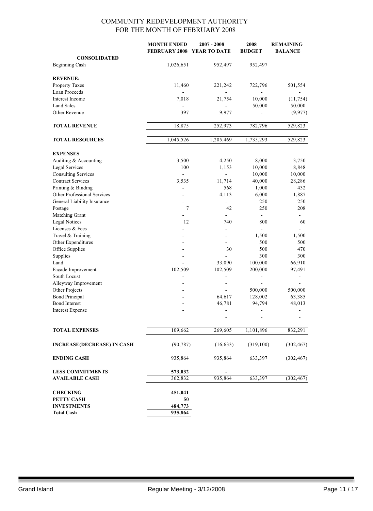#### COMMUNITY REDEVELOPMENT AUTHORITY FOR THE MONTH OF FEBRUARY 2008

| <b>FEBRUARY 2008</b><br><b>YEAR TO DATE</b><br><b>BUDGET</b><br><b>BALANCE</b><br><b>CONSOLIDATED</b><br><b>Beginning Cash</b><br>1,026,651<br>952,497<br>952,497<br><b>REVENUE:</b><br>Property Taxes<br>11,460<br>722,796<br>221,242<br>Loan Proceeds<br>$\overline{\phantom{0}}$<br>Interest Income<br>7,018<br>21,754<br>10,000<br><b>Land Sales</b><br>50,000<br>397<br>9,977<br>Other Revenue<br><b>TOTAL REVENUE</b><br>18,875<br>782,796<br>252,973<br><b>TOTAL RESOURCES</b><br>1,045,526<br>1,205,469<br>1,735,293<br><b>EXPENSES</b><br>Auditing & Accounting<br>3,500<br>4,250<br>8,000<br><b>Legal Services</b><br>100<br>1,153<br>10,000<br><b>Consulting Services</b><br>10,000<br>$\blacksquare$<br>$\overline{\phantom{0}}$<br><b>Contract Services</b><br>11,714<br>3,535<br>40,000<br>Printing & Binding<br>568<br>1,000<br>Other Professional Services<br>4,113<br>6,000<br>250<br>General Liability Insurance<br>7<br>42<br>250<br>Postage<br>Matching Grant<br>$\overline{\phantom{0}}$<br><b>Legal Notices</b><br>12<br>740<br>800<br>Licenses & Fees<br>$\blacksquare$<br>Travel & Training<br>1,500<br>Other Expenditures<br>500<br>Office Supplies<br>500<br>30<br>Supplies<br>300<br>Land<br>33,090<br>100,000<br>Façade Improvement<br>102,509<br>102,509<br>200,000<br>South Locust<br>$\overline{\phantom{a}}$<br>-<br>Alleyway Improvement<br>Other Projects<br>500,000<br>500,000<br><b>Bond Principal</b><br>64,617<br>128,002<br><b>Bond Interest</b><br>46,781<br>94,794<br><b>Interest Expense</b><br>$\overline{\phantom{a}}$<br>-<br>$\frac{1}{2}$ | 501,554<br>(11, 754)<br>50,000<br>(9,977)<br>529,823<br>529,823 |
|------------------------------------------------------------------------------------------------------------------------------------------------------------------------------------------------------------------------------------------------------------------------------------------------------------------------------------------------------------------------------------------------------------------------------------------------------------------------------------------------------------------------------------------------------------------------------------------------------------------------------------------------------------------------------------------------------------------------------------------------------------------------------------------------------------------------------------------------------------------------------------------------------------------------------------------------------------------------------------------------------------------------------------------------------------------------------------------------------------------------------------------------------------------------------------------------------------------------------------------------------------------------------------------------------------------------------------------------------------------------------------------------------------------------------------------------------------------------------------------------------------------------------------------------------------------------------------------|-----------------------------------------------------------------|
|                                                                                                                                                                                                                                                                                                                                                                                                                                                                                                                                                                                                                                                                                                                                                                                                                                                                                                                                                                                                                                                                                                                                                                                                                                                                                                                                                                                                                                                                                                                                                                                          |                                                                 |
|                                                                                                                                                                                                                                                                                                                                                                                                                                                                                                                                                                                                                                                                                                                                                                                                                                                                                                                                                                                                                                                                                                                                                                                                                                                                                                                                                                                                                                                                                                                                                                                          |                                                                 |
|                                                                                                                                                                                                                                                                                                                                                                                                                                                                                                                                                                                                                                                                                                                                                                                                                                                                                                                                                                                                                                                                                                                                                                                                                                                                                                                                                                                                                                                                                                                                                                                          |                                                                 |
|                                                                                                                                                                                                                                                                                                                                                                                                                                                                                                                                                                                                                                                                                                                                                                                                                                                                                                                                                                                                                                                                                                                                                                                                                                                                                                                                                                                                                                                                                                                                                                                          |                                                                 |
|                                                                                                                                                                                                                                                                                                                                                                                                                                                                                                                                                                                                                                                                                                                                                                                                                                                                                                                                                                                                                                                                                                                                                                                                                                                                                                                                                                                                                                                                                                                                                                                          |                                                                 |
|                                                                                                                                                                                                                                                                                                                                                                                                                                                                                                                                                                                                                                                                                                                                                                                                                                                                                                                                                                                                                                                                                                                                                                                                                                                                                                                                                                                                                                                                                                                                                                                          |                                                                 |
|                                                                                                                                                                                                                                                                                                                                                                                                                                                                                                                                                                                                                                                                                                                                                                                                                                                                                                                                                                                                                                                                                                                                                                                                                                                                                                                                                                                                                                                                                                                                                                                          |                                                                 |
|                                                                                                                                                                                                                                                                                                                                                                                                                                                                                                                                                                                                                                                                                                                                                                                                                                                                                                                                                                                                                                                                                                                                                                                                                                                                                                                                                                                                                                                                                                                                                                                          |                                                                 |
|                                                                                                                                                                                                                                                                                                                                                                                                                                                                                                                                                                                                                                                                                                                                                                                                                                                                                                                                                                                                                                                                                                                                                                                                                                                                                                                                                                                                                                                                                                                                                                                          |                                                                 |
|                                                                                                                                                                                                                                                                                                                                                                                                                                                                                                                                                                                                                                                                                                                                                                                                                                                                                                                                                                                                                                                                                                                                                                                                                                                                                                                                                                                                                                                                                                                                                                                          |                                                                 |
|                                                                                                                                                                                                                                                                                                                                                                                                                                                                                                                                                                                                                                                                                                                                                                                                                                                                                                                                                                                                                                                                                                                                                                                                                                                                                                                                                                                                                                                                                                                                                                                          |                                                                 |
|                                                                                                                                                                                                                                                                                                                                                                                                                                                                                                                                                                                                                                                                                                                                                                                                                                                                                                                                                                                                                                                                                                                                                                                                                                                                                                                                                                                                                                                                                                                                                                                          |                                                                 |
|                                                                                                                                                                                                                                                                                                                                                                                                                                                                                                                                                                                                                                                                                                                                                                                                                                                                                                                                                                                                                                                                                                                                                                                                                                                                                                                                                                                                                                                                                                                                                                                          | 3,750                                                           |
|                                                                                                                                                                                                                                                                                                                                                                                                                                                                                                                                                                                                                                                                                                                                                                                                                                                                                                                                                                                                                                                                                                                                                                                                                                                                                                                                                                                                                                                                                                                                                                                          | 8,848                                                           |
|                                                                                                                                                                                                                                                                                                                                                                                                                                                                                                                                                                                                                                                                                                                                                                                                                                                                                                                                                                                                                                                                                                                                                                                                                                                                                                                                                                                                                                                                                                                                                                                          | 10,000                                                          |
|                                                                                                                                                                                                                                                                                                                                                                                                                                                                                                                                                                                                                                                                                                                                                                                                                                                                                                                                                                                                                                                                                                                                                                                                                                                                                                                                                                                                                                                                                                                                                                                          | 28,286                                                          |
|                                                                                                                                                                                                                                                                                                                                                                                                                                                                                                                                                                                                                                                                                                                                                                                                                                                                                                                                                                                                                                                                                                                                                                                                                                                                                                                                                                                                                                                                                                                                                                                          | 432                                                             |
|                                                                                                                                                                                                                                                                                                                                                                                                                                                                                                                                                                                                                                                                                                                                                                                                                                                                                                                                                                                                                                                                                                                                                                                                                                                                                                                                                                                                                                                                                                                                                                                          | 1,887                                                           |
|                                                                                                                                                                                                                                                                                                                                                                                                                                                                                                                                                                                                                                                                                                                                                                                                                                                                                                                                                                                                                                                                                                                                                                                                                                                                                                                                                                                                                                                                                                                                                                                          | 250                                                             |
|                                                                                                                                                                                                                                                                                                                                                                                                                                                                                                                                                                                                                                                                                                                                                                                                                                                                                                                                                                                                                                                                                                                                                                                                                                                                                                                                                                                                                                                                                                                                                                                          | 208                                                             |
|                                                                                                                                                                                                                                                                                                                                                                                                                                                                                                                                                                                                                                                                                                                                                                                                                                                                                                                                                                                                                                                                                                                                                                                                                                                                                                                                                                                                                                                                                                                                                                                          |                                                                 |
|                                                                                                                                                                                                                                                                                                                                                                                                                                                                                                                                                                                                                                                                                                                                                                                                                                                                                                                                                                                                                                                                                                                                                                                                                                                                                                                                                                                                                                                                                                                                                                                          | 60                                                              |
|                                                                                                                                                                                                                                                                                                                                                                                                                                                                                                                                                                                                                                                                                                                                                                                                                                                                                                                                                                                                                                                                                                                                                                                                                                                                                                                                                                                                                                                                                                                                                                                          |                                                                 |
|                                                                                                                                                                                                                                                                                                                                                                                                                                                                                                                                                                                                                                                                                                                                                                                                                                                                                                                                                                                                                                                                                                                                                                                                                                                                                                                                                                                                                                                                                                                                                                                          | 1,500                                                           |
|                                                                                                                                                                                                                                                                                                                                                                                                                                                                                                                                                                                                                                                                                                                                                                                                                                                                                                                                                                                                                                                                                                                                                                                                                                                                                                                                                                                                                                                                                                                                                                                          | 500                                                             |
|                                                                                                                                                                                                                                                                                                                                                                                                                                                                                                                                                                                                                                                                                                                                                                                                                                                                                                                                                                                                                                                                                                                                                                                                                                                                                                                                                                                                                                                                                                                                                                                          | 470                                                             |
|                                                                                                                                                                                                                                                                                                                                                                                                                                                                                                                                                                                                                                                                                                                                                                                                                                                                                                                                                                                                                                                                                                                                                                                                                                                                                                                                                                                                                                                                                                                                                                                          | 300                                                             |
|                                                                                                                                                                                                                                                                                                                                                                                                                                                                                                                                                                                                                                                                                                                                                                                                                                                                                                                                                                                                                                                                                                                                                                                                                                                                                                                                                                                                                                                                                                                                                                                          | 66,910                                                          |
|                                                                                                                                                                                                                                                                                                                                                                                                                                                                                                                                                                                                                                                                                                                                                                                                                                                                                                                                                                                                                                                                                                                                                                                                                                                                                                                                                                                                                                                                                                                                                                                          | 97,491                                                          |
|                                                                                                                                                                                                                                                                                                                                                                                                                                                                                                                                                                                                                                                                                                                                                                                                                                                                                                                                                                                                                                                                                                                                                                                                                                                                                                                                                                                                                                                                                                                                                                                          |                                                                 |
|                                                                                                                                                                                                                                                                                                                                                                                                                                                                                                                                                                                                                                                                                                                                                                                                                                                                                                                                                                                                                                                                                                                                                                                                                                                                                                                                                                                                                                                                                                                                                                                          |                                                                 |
|                                                                                                                                                                                                                                                                                                                                                                                                                                                                                                                                                                                                                                                                                                                                                                                                                                                                                                                                                                                                                                                                                                                                                                                                                                                                                                                                                                                                                                                                                                                                                                                          |                                                                 |
|                                                                                                                                                                                                                                                                                                                                                                                                                                                                                                                                                                                                                                                                                                                                                                                                                                                                                                                                                                                                                                                                                                                                                                                                                                                                                                                                                                                                                                                                                                                                                                                          | 63,385                                                          |
|                                                                                                                                                                                                                                                                                                                                                                                                                                                                                                                                                                                                                                                                                                                                                                                                                                                                                                                                                                                                                                                                                                                                                                                                                                                                                                                                                                                                                                                                                                                                                                                          | 48,013                                                          |
|                                                                                                                                                                                                                                                                                                                                                                                                                                                                                                                                                                                                                                                                                                                                                                                                                                                                                                                                                                                                                                                                                                                                                                                                                                                                                                                                                                                                                                                                                                                                                                                          | $\overline{\phantom{a}}$                                        |
|                                                                                                                                                                                                                                                                                                                                                                                                                                                                                                                                                                                                                                                                                                                                                                                                                                                                                                                                                                                                                                                                                                                                                                                                                                                                                                                                                                                                                                                                                                                                                                                          |                                                                 |
| 109,662<br>269,605<br>1,101,896<br><b>TOTAL EXPENSES</b>                                                                                                                                                                                                                                                                                                                                                                                                                                                                                                                                                                                                                                                                                                                                                                                                                                                                                                                                                                                                                                                                                                                                                                                                                                                                                                                                                                                                                                                                                                                                 | 832,291                                                         |
|                                                                                                                                                                                                                                                                                                                                                                                                                                                                                                                                                                                                                                                                                                                                                                                                                                                                                                                                                                                                                                                                                                                                                                                                                                                                                                                                                                                                                                                                                                                                                                                          |                                                                 |
| <b>INCREASE(DECREASE) IN CASH</b><br>(90, 787)<br>(16, 633)<br>(319,100)                                                                                                                                                                                                                                                                                                                                                                                                                                                                                                                                                                                                                                                                                                                                                                                                                                                                                                                                                                                                                                                                                                                                                                                                                                                                                                                                                                                                                                                                                                                 | (302, 467)                                                      |
| <b>ENDING CASH</b><br>935,864<br>935,864<br>633,397                                                                                                                                                                                                                                                                                                                                                                                                                                                                                                                                                                                                                                                                                                                                                                                                                                                                                                                                                                                                                                                                                                                                                                                                                                                                                                                                                                                                                                                                                                                                      | (302, 467)                                                      |
| <b>LESS COMMITMENTS</b><br>573,032                                                                                                                                                                                                                                                                                                                                                                                                                                                                                                                                                                                                                                                                                                                                                                                                                                                                                                                                                                                                                                                                                                                                                                                                                                                                                                                                                                                                                                                                                                                                                       |                                                                 |
| 935,864<br>633,397<br><b>AVAILABLE CASH</b><br>362,832                                                                                                                                                                                                                                                                                                                                                                                                                                                                                                                                                                                                                                                                                                                                                                                                                                                                                                                                                                                                                                                                                                                                                                                                                                                                                                                                                                                                                                                                                                                                   | (302, 467)                                                      |
| <b>CHECKING</b><br>451,041                                                                                                                                                                                                                                                                                                                                                                                                                                                                                                                                                                                                                                                                                                                                                                                                                                                                                                                                                                                                                                                                                                                                                                                                                                                                                                                                                                                                                                                                                                                                                               |                                                                 |
| 50<br>PETTY CASH                                                                                                                                                                                                                                                                                                                                                                                                                                                                                                                                                                                                                                                                                                                                                                                                                                                                                                                                                                                                                                                                                                                                                                                                                                                                                                                                                                                                                                                                                                                                                                         |                                                                 |
| <b>INVESTMENTS</b><br>484,773                                                                                                                                                                                                                                                                                                                                                                                                                                                                                                                                                                                                                                                                                                                                                                                                                                                                                                                                                                                                                                                                                                                                                                                                                                                                                                                                                                                                                                                                                                                                                            |                                                                 |
| 935,864<br><b>Total Cash</b>                                                                                                                                                                                                                                                                                                                                                                                                                                                                                                                                                                                                                                                                                                                                                                                                                                                                                                                                                                                                                                                                                                                                                                                                                                                                                                                                                                                                                                                                                                                                                             |                                                                 |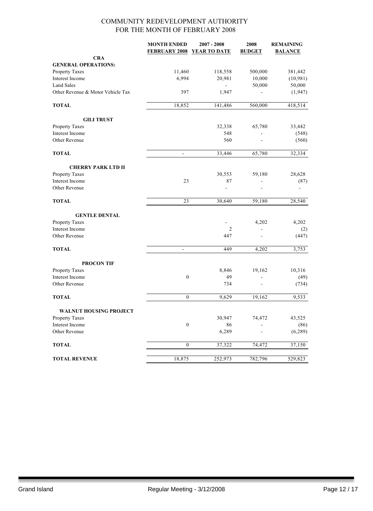#### COMMUNITY REDEVELOPMENT AUTHORITY FOR THE MONTH OF FEBRUARY 2008

|                                   | <b>MONTH ENDED</b><br><b>FEBRUARY 2008</b> | $2007 - 2008$<br>YEAR TO DATE | 2008<br><b>BUDGET</b>    | <b>REMAINING</b><br><b>BALANCE</b> |
|-----------------------------------|--------------------------------------------|-------------------------------|--------------------------|------------------------------------|
| <b>CRA</b>                        |                                            |                               |                          |                                    |
| <b>GENERAL OPERATIONS:</b>        |                                            |                               |                          |                                    |
| Property Taxes                    | 11,460                                     | 118,558                       | 500,000                  | 381,442                            |
| Interest Income                   | 6,994                                      | 20,981                        | 10,000                   | (10, 981)                          |
| <b>Land Sales</b>                 |                                            | $\blacksquare$                | 50,000                   | 50,000                             |
| Other Revenue & Motor Vehicle Tax | 397                                        | 1,947                         |                          | (1, 947)                           |
| <b>TOTAL</b>                      | 18,852                                     | 141,486                       | 560,000                  | 418,514                            |
| <b>GILI TRUST</b>                 |                                            |                               |                          |                                    |
| Property Taxes                    |                                            | 32,338                        | 65,780                   | 33,442                             |
| Interest Income                   |                                            | 548                           |                          | (548)                              |
| Other Revenue                     |                                            | 560                           |                          | (560)                              |
| <b>TOTAL</b>                      | $\blacksquare$                             | 33,446                        | 65,780                   | 32,334                             |
| <b>CHERRY PARK LTD II</b>         |                                            |                               |                          |                                    |
| <b>Property Taxes</b>             |                                            | 30,553                        | 59,180                   | 28,628                             |
| Interest Income                   | 23                                         | 87                            | $\overline{\phantom{0}}$ | (87)                               |
| Other Revenue                     |                                            | $\frac{1}{2}$                 |                          |                                    |
| <b>TOTAL</b>                      | 23                                         | 30,640                        | 59,180                   | 28,540                             |
| <b>GENTLE DENTAL</b>              |                                            |                               |                          |                                    |
| Property Taxes                    |                                            |                               | 4,202                    | 4,202                              |
| <b>Interest Income</b>            |                                            | 2                             | L,                       | (2)                                |
| Other Revenue                     |                                            | 447                           | L,                       | (447)                              |
| <b>TOTAL</b>                      | $\blacksquare$                             | 449                           | 4,202                    | 3,753                              |
| <b>PROCON TIF</b>                 |                                            |                               |                          |                                    |
| Property Taxes                    |                                            | 8,846                         | 19,162                   | 10,316                             |
| Interest Income                   | $\boldsymbol{0}$                           | 49                            |                          | (49)                               |
| Other Revenue                     |                                            | 734                           |                          | (734)                              |
| <b>TOTAL</b>                      | $\boldsymbol{0}$                           | 9,629                         | 19,162                   | 9,533                              |
| <b>WALNUT HOUSING PROJECT</b>     |                                            |                               |                          |                                    |
| <b>Property Taxes</b>             |                                            | 30,947                        | 74,472                   | 43,525                             |
| Interest Income                   | $\boldsymbol{0}$                           | 86                            |                          | (86)                               |
| Other Revenue                     |                                            | 6,289                         |                          | (6, 289)                           |
| <b>TOTAL</b>                      | $\boldsymbol{0}$                           | 37,322                        | 74,472                   | 37,150                             |
| <b>TOTAL REVENUE</b>              | 18,875                                     | 252,973                       | 782,796                  | 529,823                            |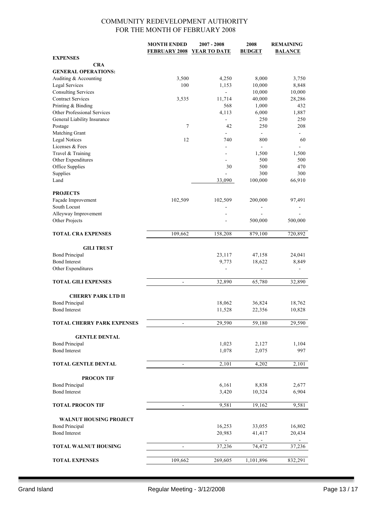#### COMMUNITY REDEVELOPMENT AUTHORITY FOR THE MONTH OF FEBRUARY 2008

|                                         | <b>MONTH ENDED</b>   | 2007 - 2008    | 2008                  | <b>REMAINING</b> |
|-----------------------------------------|----------------------|----------------|-----------------------|------------------|
|                                         | <b>FEBRUARY 2008</b> | YEAR TO DATE   | <b>BUDGET</b>         | <b>BALANCE</b>   |
| <b>EXPENSES</b>                         |                      |                |                       |                  |
| <b>CRA</b>                              |                      |                |                       |                  |
| <b>GENERAL OPERATIONS:</b>              |                      |                |                       |                  |
| Auditing & Accounting                   | 3,500                | 4,250          | 8,000                 | 3,750            |
| <b>Legal Services</b>                   | 100                  | 1,153          | 10,000                | 8,848            |
| <b>Consulting Services</b>              |                      | $\blacksquare$ | 10,000                | 10,000           |
| <b>Contract Services</b>                | 3,535                | 11,714         | 40,000                | 28,286           |
| Printing & Binding                      |                      | 568            | 1,000                 | 432              |
| Other Professional Services             |                      | 4,113          | 6,000                 | 1,887            |
| General Liability Insurance             |                      |                | 250                   | 250              |
| Postage                                 | 7                    | 42             | 250                   | 208              |
| Matching Grant                          | 12                   | 740            | $\blacksquare$        |                  |
| <b>Legal Notices</b>                    |                      |                | 800<br>$\blacksquare$ | 60               |
| Licenses & Fees                         |                      |                |                       |                  |
| Travel & Training<br>Other Expenditures |                      | ٠              | 1,500<br>500          | 1,500<br>500     |
| Office Supplies                         |                      | 30             | 500                   | 470              |
|                                         |                      |                | 300                   | 300              |
| Supplies<br>Land                        |                      | 33,090         |                       | 66,910           |
|                                         |                      |                | 100,000               |                  |
| <b>PROJECTS</b>                         |                      |                |                       |                  |
| Façade Improvement                      | 102,509              | 102,509        | 200,000               | 97,491           |
| South Locust                            |                      |                |                       |                  |
| Alleyway Improvement                    |                      |                |                       |                  |
| Other Projects                          |                      |                | 500,000               | 500,000          |
|                                         |                      |                |                       |                  |
| <b>TOTAL CRA EXPENSES</b>               | 109,662              | 158,208        | 879,100               | 720,892          |
|                                         |                      |                |                       |                  |
| <b>GILI TRUST</b>                       |                      |                |                       |                  |
| <b>Bond Principal</b>                   |                      | 23,117         | 47,158                | 24,041           |
| <b>Bond Interest</b>                    |                      | 9,773          | 18,622                | 8,849            |
| Other Expenditures                      |                      |                |                       |                  |
|                                         |                      |                |                       |                  |
| <b>TOTAL GILI EXPENSES</b>              | $\frac{1}{2}$        | 32,890         | 65,780                | 32,890           |
|                                         |                      |                |                       |                  |
| <b>CHERRY PARK LTD II</b>               |                      |                |                       |                  |
| <b>Bond Principal</b>                   |                      | 18,062         | 36,824                | 18,762           |
| <b>Bond Interest</b>                    |                      | 11,528         | 22,356                | 10,828           |
|                                         |                      |                |                       |                  |
| <b>TOTAL CHERRY PARK EXPENSES</b>       | $\overline{a}$       | 29,590         | 59,180                | 29,590           |
|                                         |                      |                |                       |                  |
| <b>GENTLE DENTAL</b>                    |                      |                |                       |                  |
| <b>Bond Principal</b>                   |                      | 1,023          | 2,127                 | 1,104            |
| <b>Bond Interest</b>                    |                      | 1,078          | 2,075                 | 997              |
|                                         |                      |                |                       |                  |
| TOTAL GENTLE DENTAL                     |                      | 2,101          | 4,202                 | 2,101            |
|                                         |                      |                |                       |                  |
| <b>PROCON TIF</b>                       |                      |                |                       |                  |
| <b>Bond Principal</b>                   |                      | 6,161          | 8,838                 | 2,677            |
| <b>Bond Interest</b>                    |                      | 3,420          | 10,324                | 6,904            |
| <b>TOTAL PROCON TIF</b>                 | $\blacksquare$       | 9,581          | 19,162                | 9,581            |
|                                         |                      |                |                       |                  |
| <b>WALNUT HOUSING PROJECT</b>           |                      |                |                       |                  |
| <b>Bond Principal</b>                   |                      | 16,253         | 33,055                | 16,802           |
| <b>Bond Interest</b>                    |                      | 20,983         | 41,417                | 20,434           |
|                                         |                      | ÷.             | $\blacksquare$        | $\blacksquare$   |
| <b>TOTAL WALNUT HOUSING</b>             |                      | 37,236         | 74,472                | 37,236           |
|                                         |                      |                |                       |                  |
| <b>TOTAL EXPENSES</b>                   | 109,662              | 269,605        | 1,101,896             | 832,291          |
|                                         |                      |                |                       |                  |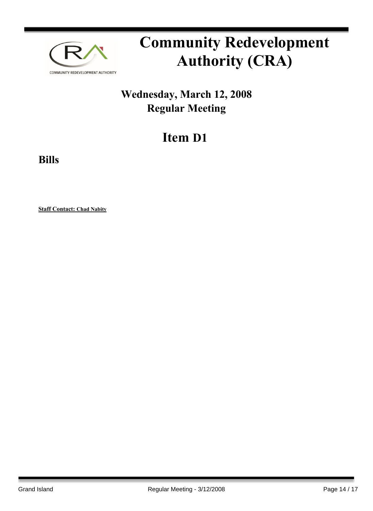

## **Wednesday, March 12, 2008 Regular Meeting**

## **Item D1**

**Bills**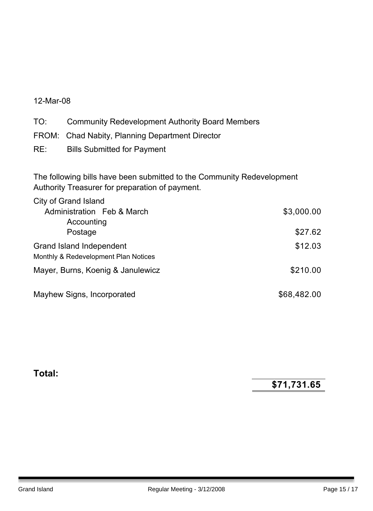#### 12-Mar-08

TO: Community Redevelopment Authority Board Members

- FROM: Chad Nabity, Planning Department Director
- RE: Bills Submitted for Payment

The following bills have been submitted to the Community Redevelopment Authority Treasurer for preparation of payment.

| City of Grand Island                 |             |
|--------------------------------------|-------------|
| Administration Feb & March           | \$3,000.00  |
| Accounting                           |             |
| Postage                              | \$27.62     |
| Grand Island Independent             | \$12.03     |
| Monthly & Redevelopment Plan Notices |             |
| Mayer, Burns, Koenig & Janulewicz    | \$210.00    |
|                                      |             |
| Mayhew Signs, Incorporated           | \$68,482.00 |

#### **Total:**

**\$71,731.65**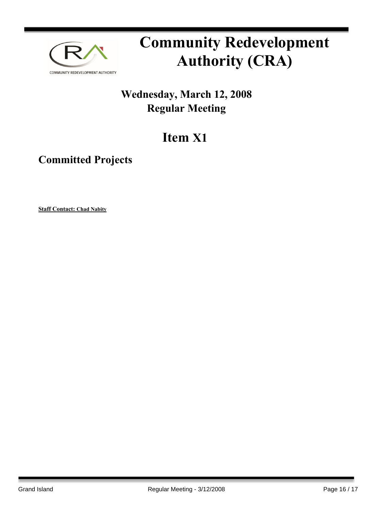

## **Wednesday, March 12, 2008 Regular Meeting**

## **Item X1**

### **Committed Projects**